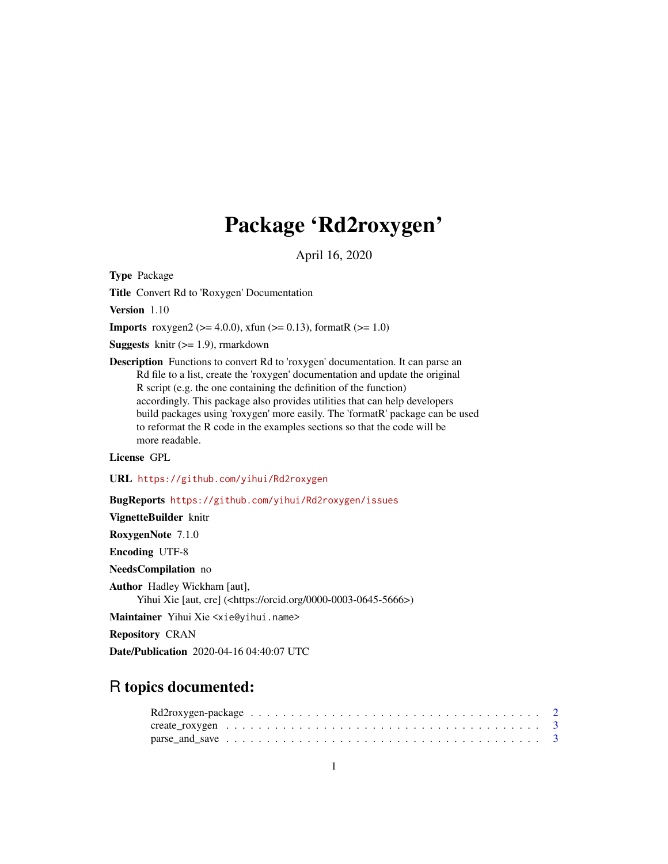# Package 'Rd2roxygen'

April 16, 2020

<span id="page-0-0"></span>Type Package

Title Convert Rd to 'Roxygen' Documentation

Version 1.10

**Imports** roxygen2 ( $>= 4.0.0$ ), xfun ( $>= 0.13$ ), formatR ( $>= 1.0$ )

**Suggests** knitr  $(>= 1.9)$ , rmarkdown

Description Functions to convert Rd to 'roxygen' documentation. It can parse an Rd file to a list, create the 'roxygen' documentation and update the original R script (e.g. the one containing the definition of the function) accordingly. This package also provides utilities that can help developers build packages using 'roxygen' more easily. The 'formatR' package can be used to reformat the R code in the examples sections so that the code will be more readable.

License GPL

URL <https://github.com/yihui/Rd2roxygen>

BugReports <https://github.com/yihui/Rd2roxygen/issues>

VignetteBuilder knitr

RoxygenNote 7.1.0

Encoding UTF-8

NeedsCompilation no

Author Hadley Wickham [aut], Yihui Xie [aut, cre] (<https://orcid.org/0000-0003-0645-5666>)

Maintainer Yihui Xie <xie@yihui.name>

Repository CRAN

Date/Publication 2020-04-16 04:40:07 UTC

# R topics documented: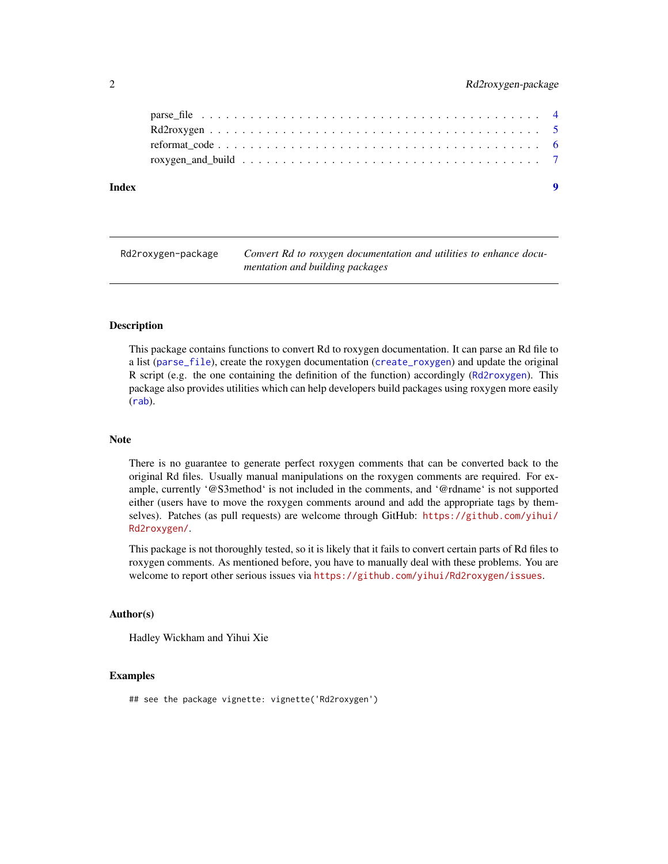<span id="page-1-0"></span>

| Index |  |
|-------|--|
|       |  |
|       |  |
|       |  |
|       |  |

Rd2roxygen-package *Convert Rd to roxygen documentation and utilities to enhance documentation and building packages*

#### **Description**

This package contains functions to convert Rd to roxygen documentation. It can parse an Rd file to a list ([parse\\_file](#page-3-1)), create the roxygen documentation ([create\\_roxygen](#page-2-1)) and update the original R script (e.g. the one containing the definition of the function) accordingly ([Rd2roxygen](#page-4-1)). This package also provides utilities which can help developers build packages using roxygen more easily ([rab](#page-6-1)).

#### Note

There is no guarantee to generate perfect roxygen comments that can be converted back to the original Rd files. Usually manual manipulations on the roxygen comments are required. For example, currently '@S3method' is not included in the comments, and '@rdname' is not supported either (users have to move the roxygen comments around and add the appropriate tags by themselves). Patches (as pull requests) are welcome through GitHub: [https://github.com/yihui/](https://github.com/yihui/Rd2roxygen/) [Rd2roxygen/](https://github.com/yihui/Rd2roxygen/).

This package is not thoroughly tested, so it is likely that it fails to convert certain parts of Rd files to roxygen comments. As mentioned before, you have to manually deal with these problems. You are welcome to report other serious issues via <https://github.com/yihui/Rd2roxygen/issues>.

#### Author(s)

Hadley Wickham and Yihui Xie

#### Examples

```
## see the package vignette: vignette('Rd2roxygen')
```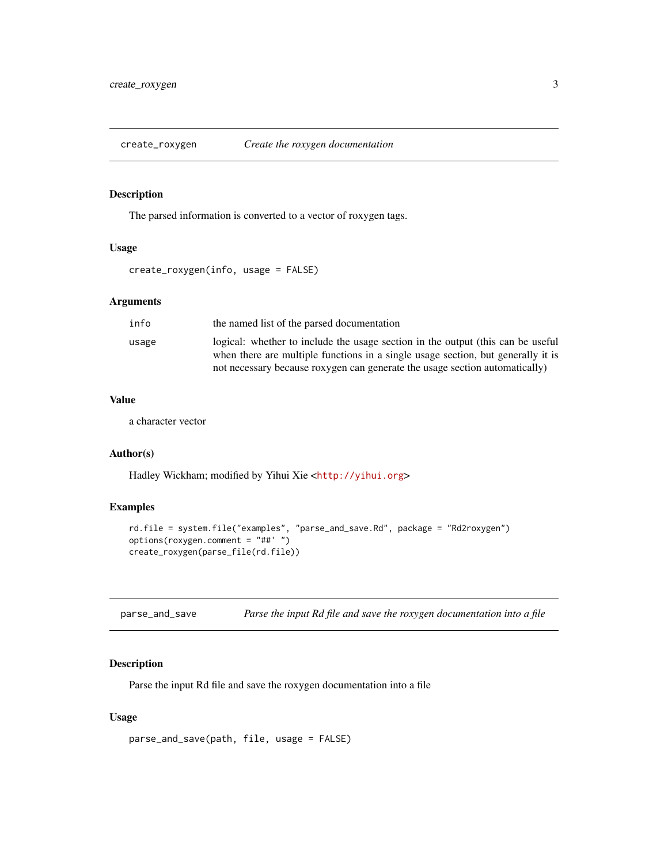<span id="page-2-1"></span><span id="page-2-0"></span>

#### Description

The parsed information is converted to a vector of roxygen tags.

#### Usage

create\_roxygen(info, usage = FALSE)

#### Arguments

| info  | the named list of the parsed documentation                                                                                                                                                                                                        |
|-------|---------------------------------------------------------------------------------------------------------------------------------------------------------------------------------------------------------------------------------------------------|
| usage | logical: whether to include the usage section in the output (this can be useful<br>when there are multiple functions in a single usage section, but generally it is<br>not necessary because roxygen can generate the usage section automatically |
|       |                                                                                                                                                                                                                                                   |

# Value

a character vector

# Author(s)

Hadley Wickham; modified by Yihui Xie <<http://yihui.org>>

# Examples

```
rd.file = system.file("examples", "parse_and_save.Rd", package = "Rd2roxygen")
options(roxygen.comment = "##' ")
create_roxygen(parse_file(rd.file))
```

| parse_and_save | Parse the input Rd file and save the roxygen documentation into a file |  |
|----------------|------------------------------------------------------------------------|--|
|----------------|------------------------------------------------------------------------|--|

# Description

Parse the input Rd file and save the roxygen documentation into a file

#### Usage

```
parse_and_save(path, file, usage = FALSE)
```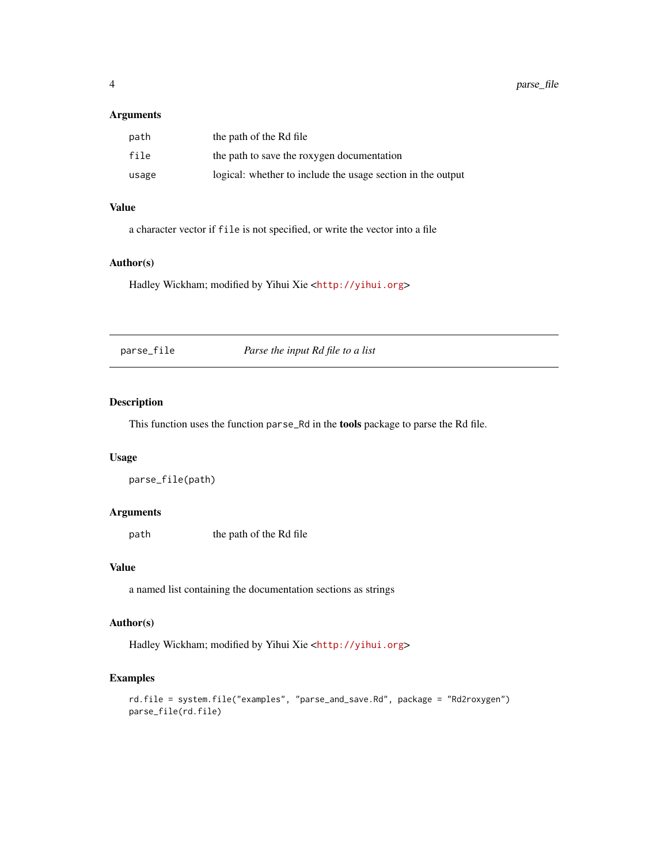### <span id="page-3-0"></span>Arguments

| path  | the path of the Rd file                                     |
|-------|-------------------------------------------------------------|
| file  | the path to save the roxygen documentation                  |
| usage | logical: whether to include the usage section in the output |

#### Value

a character vector if file is not specified, or write the vector into a file

# Author(s)

Hadley Wickham; modified by Yihui Xie <<http://yihui.org>>

<span id="page-3-1"></span>parse\_file *Parse the input Rd file to a list*

# Description

This function uses the function parse\_Rd in the tools package to parse the Rd file.

#### Usage

```
parse_file(path)
```
#### Arguments

path the path of the Rd file

#### Value

a named list containing the documentation sections as strings

## Author(s)

Hadley Wickham; modified by Yihui Xie <<http://yihui.org>>

# Examples

```
rd.file = system.file("examples", "parse_and_save.Rd", package = "Rd2roxygen")
parse_file(rd.file)
```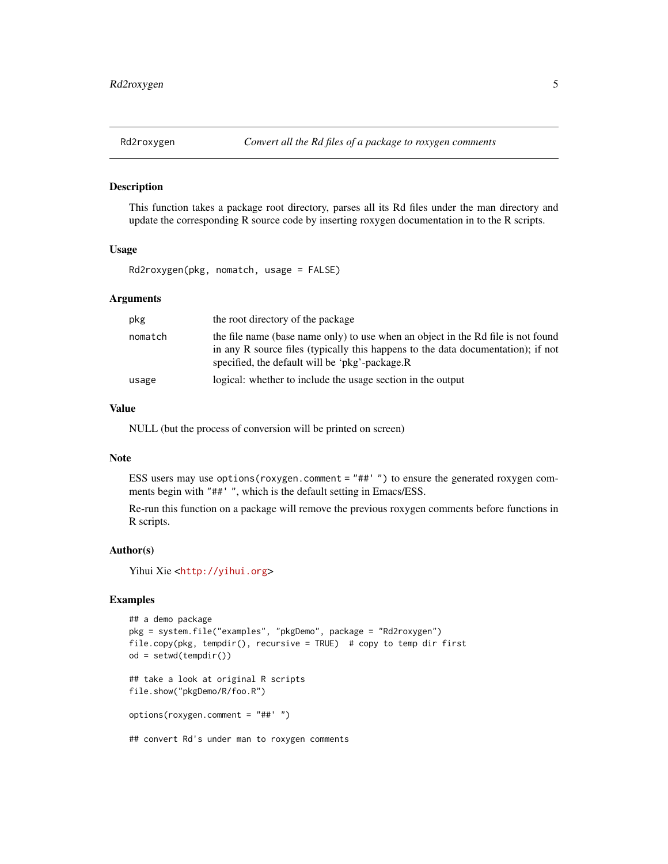<span id="page-4-1"></span><span id="page-4-0"></span>

#### Description

This function takes a package root directory, parses all its Rd files under the man directory and update the corresponding R source code by inserting roxygen documentation in to the R scripts.

#### Usage

Rd2roxygen(pkg, nomatch, usage = FALSE)

#### **Arguments**

| pkg     | the root directory of the package                                                                                                                                                                                      |
|---------|------------------------------------------------------------------------------------------------------------------------------------------------------------------------------------------------------------------------|
| nomatch | the file name (base name only) to use when an object in the Rd file is not found<br>in any R source files (typically this happens to the data documentation); if not<br>specified, the default will be 'pkg'-package.R |
| usage   | logical: whether to include the usage section in the output                                                                                                                                                            |

#### Value

NULL (but the process of conversion will be printed on screen)

#### Note

ESS users may use options (roxygen.comment =  $"$ ##' $"$ ) to ensure the generated roxygen comments begin with "##' ", which is the default setting in Emacs/ESS.

Re-run this function on a package will remove the previous roxygen comments before functions in R scripts.

#### Author(s)

Yihui Xie <<http://yihui.org>>

# Examples

```
## a demo package
pkg = system.file("examples", "pkgDemo", package = "Rd2roxygen")
file.copy(pkg, tempdir(), recursive = TRUE) # copy to temp dir first
od = setwd(tempdir())
## take a look at original R scripts
file.show("pkgDemo/R/foo.R")
options(roxygen.comment = "##' ")
## convert Rd's under man to roxygen comments
```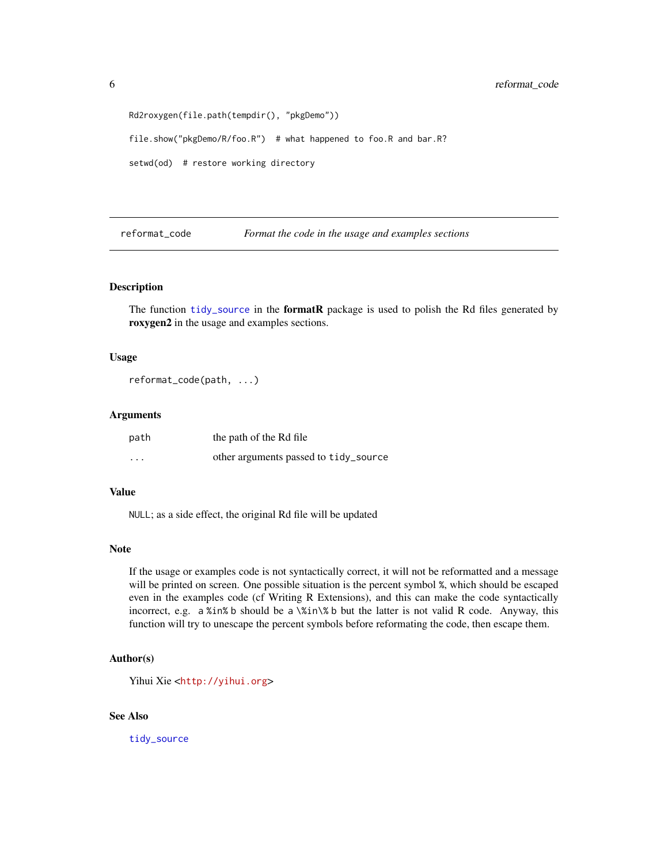```
Rd2roxygen(file.path(tempdir(), "pkgDemo"))
file.show("pkgDemo/R/foo.R") # what happened to foo.R and bar.R?
setwd(od) # restore working directory
```
<span id="page-5-1"></span>reformat\_code *Format the code in the usage and examples sections*

# Description

The function [tidy\\_source](#page-0-0) in the **formatR** package is used to polish the Rd files generated by roxygen2 in the usage and examples sections.

#### Usage

reformat\_code(path, ...)

#### Arguments

| path              | the path of the Rd file               |
|-------------------|---------------------------------------|
| $\cdot\cdot\cdot$ | other arguments passed to tidy_source |

#### Value

NULL; as a side effect, the original Rd file will be updated

#### Note

If the usage or examples code is not syntactically correct, it will not be reformatted and a message will be printed on screen. One possible situation is the percent symbol %, which should be escaped even in the examples code (cf Writing R Extensions), and this can make the code syntactically incorrect, e.g. a %in% b should be a \%in\% b but the latter is not valid R code. Anyway, this function will try to unescape the percent symbols before reformating the code, then escape them.

#### Author(s)

Yihui Xie <<http://yihui.org>>

#### See Also

[tidy\\_source](#page-0-0)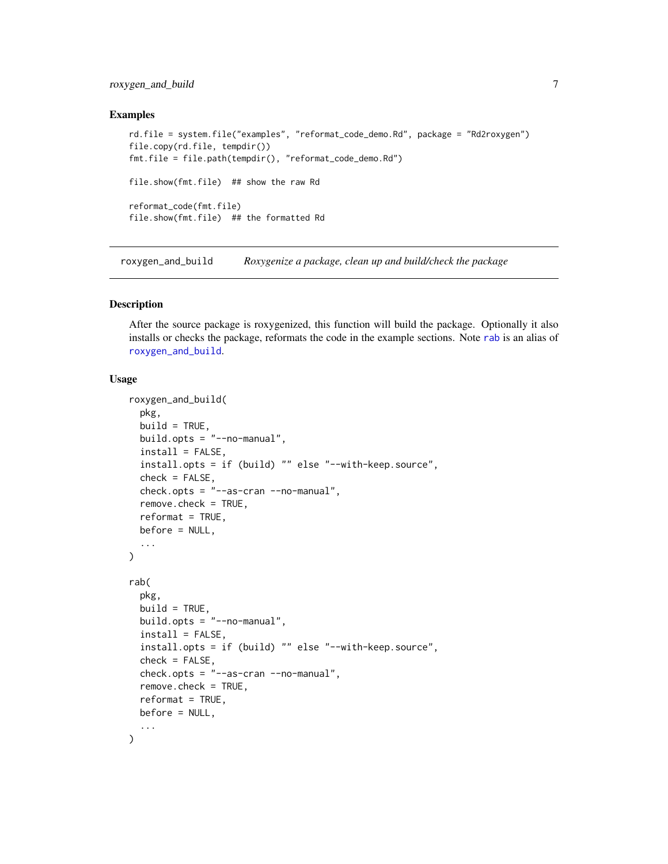# <span id="page-6-0"></span>roxygen\_and\_build 7

#### Examples

```
rd.file = system.file("examples", "reformat_code_demo.Rd", package = "Rd2roxygen")
file.copy(rd.file, tempdir())
fmt.file = file.path(tempdir(), "reformat_code_demo.Rd")
file.show(fmt.file) ## show the raw Rd
reformat_code(fmt.file)
file.show(fmt.file) ## the formatted Rd
```
<span id="page-6-2"></span>roxygen\_and\_build *Roxygenize a package, clean up and build/check the package*

#### <span id="page-6-1"></span>Description

After the source package is roxygenized, this function will build the package. Optionally it also installs or checks the package, reformats the code in the example sections. Note [rab](#page-6-1) is an alias of [roxygen\\_and\\_build](#page-6-2).

#### Usage

```
roxygen_and_build(
  pkg,
  build = TRUE,build.opts = "--no-manual",
  install = FALSE,install.opts = if (build) "" else "--with-keep.source",
  check = FALSE,
  check.opts = "--as-cran --no-manual",
  remove.check = TRUE,
  reformat = TRUE,before = NULL,
  ...
\mathcal{L}rab(
 pkg,
 build = TRUE,build.opts = "--no-manual",
  install = FALSE,install.opts = if (build) "" else "--with-keep.source",
  check = FALSE,check.opts = "--as-cran --no-manual",
  remove.check = TRUE,
  reformat = TRUE,before = NULL,
  ...
)
```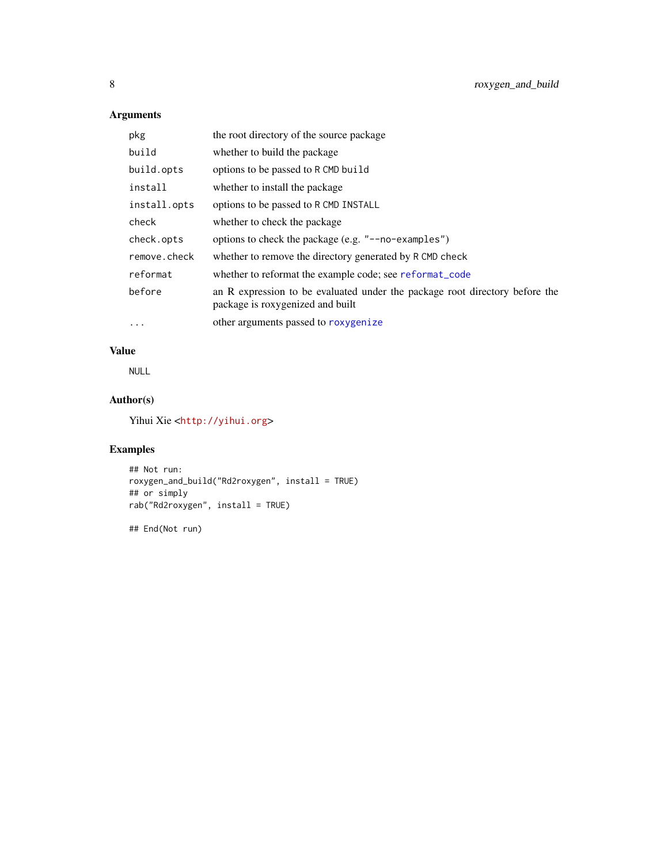# <span id="page-7-0"></span>Arguments

| pkg          | the root directory of the source package                                                                        |
|--------------|-----------------------------------------------------------------------------------------------------------------|
| build        | whether to build the package                                                                                    |
| build.opts   | options to be passed to R CMD build                                                                             |
| install      | whether to install the package                                                                                  |
| install.opts | options to be passed to R CMD INSTALL                                                                           |
| check        | whether to check the package                                                                                    |
| check.opts   | options to check the package (e.g. "--no-examples")                                                             |
| remove.check | whether to remove the directory generated by R CMD check                                                        |
| reformat     | whether to reformat the example code; see reformat_code                                                         |
| before       | an R expression to be evaluated under the package root directory before the<br>package is roxygenized and built |
| $\cdots$     | other arguments passed to roxygenize                                                                            |

# Value

NULL

# Author(s)

Yihui Xie <<http://yihui.org>>

# Examples

```
## Not run:
roxygen_and_build("Rd2roxygen", install = TRUE)
## or simply
rab("Rd2roxygen", install = TRUE)
```
## End(Not run)